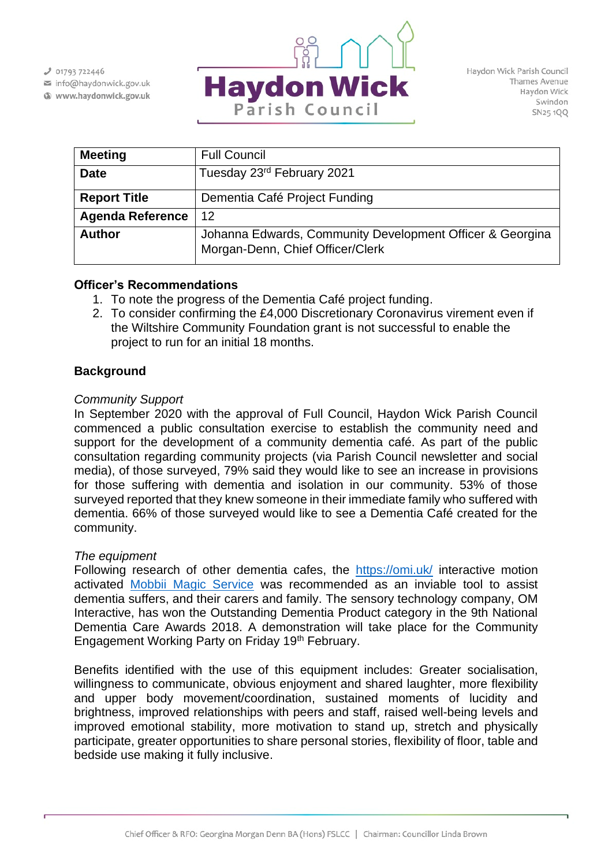$J$  01793 722446

info@haydonwick.gov.uk Www.haydonwick.gov.uk



| <b>Meeting</b>          | <b>Full Council</b>                                                                           |
|-------------------------|-----------------------------------------------------------------------------------------------|
| <b>Date</b>             | Tuesday 23 <sup>rd</sup> February 2021                                                        |
| <b>Report Title</b>     | Dementia Café Project Funding                                                                 |
| <b>Agenda Reference</b> | 12                                                                                            |
| <b>Author</b>           | Johanna Edwards, Community Development Officer & Georgina<br>Morgan-Denn, Chief Officer/Clerk |

#### **Officer's Recommendations**

- 1. To note the progress of the Dementia Café project funding.
- 2. To consider confirming the £4,000 Discretionary Coronavirus virement even if the Wiltshire Community Foundation grant is not successful to enable the project to run for an initial 18 months.

# **Background**

## *Community Support*

In September 2020 with the approval of Full Council, Haydon Wick Parish Council commenced a public consultation exercise to establish the community need and support for the development of a community dementia café. As part of the public consultation regarding community projects (via Parish Council newsletter and social media), of those surveyed, 79% said they would like to see an increase in provisions for those suffering with dementia and isolation in our community. 53% of those surveyed reported that they knew someone in their immediate family who suffered with dementia. 66% of those surveyed would like to see a Dementia Café created for the community.

#### *The equipment*

Following research of other dementia cafes, the <https://omi.uk/> interactive motion activated [Mobbii Magic Service](https://omi.uk/care/mobii-interactive-table-floor/) was recommended as an inviable tool to assist dementia suffers, and their carers and family. The sensory technology company, OM Interactive, has won the Outstanding Dementia Product category in the 9th National Dementia Care Awards 2018. A demonstration will take place for the Community Engagement Working Party on Friday 19th February.

Benefits identified with the use of this equipment includes: Greater socialisation, willingness to communicate, obvious enjoyment and shared laughter, more flexibility and upper body movement/coordination, sustained moments of lucidity and brightness, improved relationships with peers and staff, raised well-being levels and improved emotional stability, more motivation to stand up, stretch and physically participate, greater opportunities to share personal stories, flexibility of floor, table and bedside use making it fully inclusive.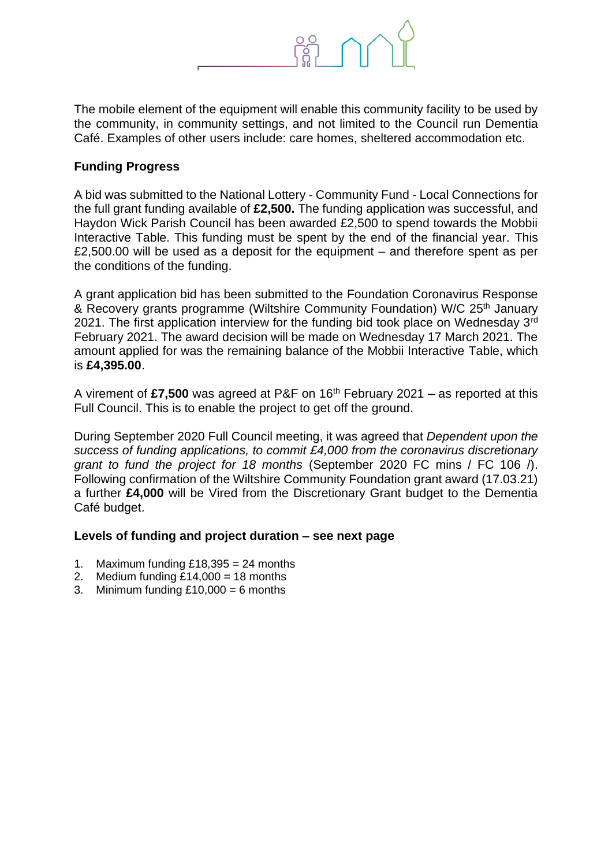

The mobile element of the equipment will enable this community facility to be used by the community, in community settings, and not limited to the Council run Dementia Café. Examples of other users include: care homes, sheltered accommodation etc.

### **Funding Progress**

A bid was submitted to the National Lottery - Community Fund - Local Connections for the full grant funding available of **£2,500.** The funding application was successful, and Haydon Wick Parish Council has been awarded £2,500 to spend towards the Mobbii Interactive Table. This funding must be spent by the end of the financial year. This £2,500.00 will be used as a deposit for the equipment – and therefore spent as per the conditions of the funding.

A grant application bid has been submitted to the Foundation Coronavirus Response & Recovery grants programme (Wiltshire Community Foundation) W/C 25<sup>th</sup> January 2021. The first application interview for the funding bid took place on Wednesday  $3<sup>rd</sup>$ February 2021. The award decision will be made on Wednesday 17 March 2021. The amount applied for was the remaining balance of the Mobbii Interactive Table, which is **£4,395.00**.

A virement of **£7,500** was agreed at P&F on 16th February 2021 – as reported at this Full Council. This is to enable the project to get off the ground.

During September 2020 Full Council meeting, it was agreed that *Dependent upon the success of funding applications, to commit £4,000 from the coronavirus discretionary grant to fund the project for 18 months* (September 2020 FC mins / FC 106 /). Following confirmation of the Wiltshire Community Foundation grant award (17.03.21) a further **£4,000** will be Vired from the Discretionary Grant budget to the Dementia Café budget.

#### **Levels of funding and project duration – see next page**

- 1. Maximum funding  $£18,395 = 24$  months
- 2. Medium funding  $£14,000 = 18$  months
- 3. Minimum funding  $£10,000 = 6$  months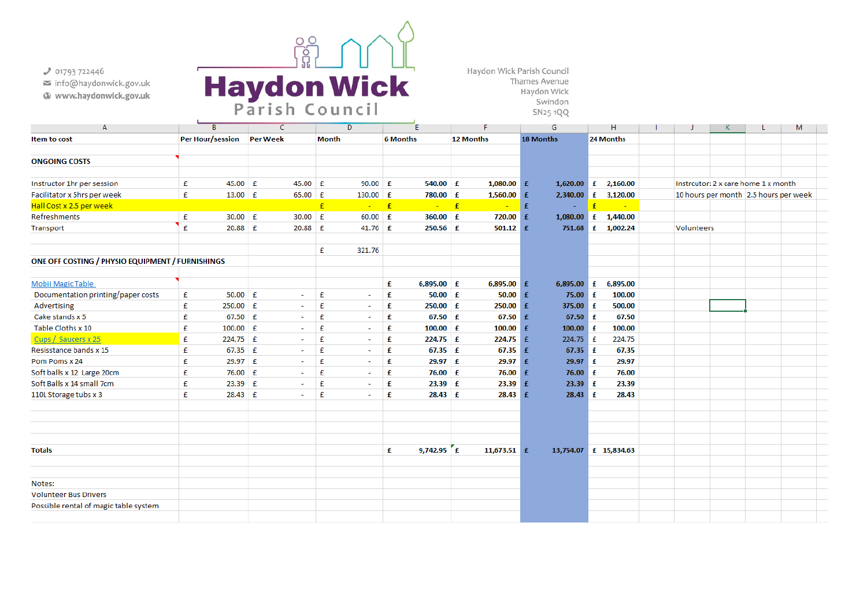$J$  01793 722446

- info@haydonwick.gov.uk
- Www.haydonwick.gov.uk



Haydon Wick Parish Council Thames Avenue Haydon Wick Swindon SN25 1QQ

| A                                                |   | B                       |           | C               |    | D                        |            | Е               |              | F             |    | G                     | н                                        |                     |                                     |            | К | L | м                                     |  |
|--------------------------------------------------|---|-------------------------|-----------|-----------------|----|--------------------------|------------|-----------------|--------------|---------------|----|-----------------------|------------------------------------------|---------------------|-------------------------------------|------------|---|---|---------------------------------------|--|
| Item to cost                                     |   | <b>Per Hour/session</b> |           | <b>Per Week</b> |    | <b>Month</b>             |            | <b>6 Months</b> |              | 12 Months     |    | <b>18 Months</b>      |                                          | 24 Months           |                                     |            |   |   |                                       |  |
|                                                  |   |                         |           |                 |    |                          |            |                 |              |               |    |                       |                                          |                     |                                     |            |   |   |                                       |  |
| <b>ONGOING COSTS</b>                             |   |                         |           |                 |    |                          |            |                 |              |               |    |                       |                                          |                     |                                     |            |   |   |                                       |  |
|                                                  |   |                         |           |                 |    |                          |            |                 |              |               |    |                       |                                          |                     |                                     |            |   |   |                                       |  |
| Instructor 1hr per session                       | £ | $45.00$ £               | $45.00$ £ |                 |    | $90.00$ £                | $540.00$ £ |                 | $1,080.00$ £ |               |    |                       | $1,620.00 \quad \text{f} \quad 2,160.00$ |                     | Instrcutor: 2 x care home 1 x month |            |   |   |                                       |  |
| Facilitator x 5hrs per week                      | £ | 13.00 $E$               |           | $65.00$ £       |    | $130.00$ £               |            | 780.00 £        |              | $1,560.00$ £  |    |                       |                                          | 2,340.00 £ 3,120.00 |                                     |            |   |   | 10 hours per month 2.5 hours per week |  |
| Hall Cost x 2.5 per week                         |   |                         |           |                 | £  | ÷                        | E          |                 | $\mathbf{f}$ |               | £  |                       |                                          |                     |                                     |            |   |   |                                       |  |
| Refreshments                                     | £ | $30.00$ £               |           | 30.00           | Æ  | $60.00$ £                |            | 360.00 £        |              | 720.00        | -£ |                       |                                          | 1,080.00 £ 1,440.00 |                                     |            |   |   |                                       |  |
| Transport                                        | £ | $20.88$ £               |           | 20.88           | ∣£ | 41.76 $f$                |            | $250.56$ £      |              | $501.12 \t f$ |    |                       |                                          | 751.68 £ 1,002.24   |                                     | Volunteers |   |   |                                       |  |
|                                                  |   |                         |           |                 |    |                          |            |                 |              |               |    |                       |                                          |                     |                                     |            |   |   |                                       |  |
|                                                  |   |                         |           |                 | £  | 321.76                   |            |                 |              |               |    |                       |                                          |                     |                                     |            |   |   |                                       |  |
| ONE OFF COSTING / PHYSIO EQUIPMENT / FURNISHINGS |   |                         |           |                 |    |                          |            |                 |              |               |    |                       |                                          |                     |                                     |            |   |   |                                       |  |
|                                                  |   |                         |           |                 |    |                          |            |                 |              |               |    |                       |                                          |                     |                                     |            |   |   |                                       |  |
| Mobii Magic Table                                |   |                         |           |                 |    |                          | £          | $6,895.00$ £    |              | $6,895.00$ £  |    | 6,895.00              | £                                        | 6,895.00            |                                     |            |   |   |                                       |  |
| Documentation printing/paper costs               | £ | $50.00$ £               |           | $\sim$          | £  | $\overline{\phantom{a}}$ | £          | $50.00$ £       |              | 50.00         | -£ | $75.00 \t f$          |                                          | 100.00              |                                     |            |   |   |                                       |  |
| Advertising                                      | £ | $250.00$ £              |           | $\sim$          | £  | $\overline{\phantom{a}}$ | £          | $250.00$ £      |              | $250.00$ £    |    | 375.00 £              |                                          | 500.00              |                                     |            |   |   |                                       |  |
| Cake stands x 5                                  | £ | 67.50 £                 |           | $\sim$          | £  | ٠                        | £          | $67.50$ £       |              | $67.50$ £     |    | $67.50$ £             |                                          | 67.50               |                                     |            |   |   |                                       |  |
| Table Cloths x 10                                | £ | $100.00$ £              |           | $\sim$          | £  | $\sim$                   | £          | $100.00$ £      |              | $100.00$ £    |    | $100.00$ £            |                                          | 100.00              |                                     |            |   |   |                                       |  |
| Cups / Saucers x 25                              | £ | 224.75 £                |           | $\sim$          | £  | $\sim$                   | £          | $224.75$ £      |              | $224.75$ £    |    | 224.75 £              |                                          | 224.75              |                                     |            |   |   |                                       |  |
| Resisstance bands x 15                           | £ | $67.35 \tE$             |           | $\sim$          | £  | $\overline{\phantom{a}}$ | £          | $67.35 \t f$    |              | $67.35 \t f$  |    | 67.35 $f$             |                                          | 67.35               |                                     |            |   |   |                                       |  |
| Pom Poms x 24                                    | £ | $29.97$ £               |           | $\sim$          | £  | $\sim$                   | £          | $29.97 \t f$    |              | $29.97 \t f$  |    | $29.97 \t f$          |                                          | 29.97               |                                     |            |   |   |                                       |  |
| Soft balls x 12 Large 20cm                       | £ | 76.00 £                 |           | $\sim$          | £  | $\sim$                   | £          | $76.00 \t f$    |              | 76.00 £       |    | $76.00 \t f$          |                                          | 76.00               |                                     |            |   |   |                                       |  |
| Soft Balls x 14 small 7cm                        | £ | 23.39 £                 |           | ÷               | £  | $\sim$                   | £          | $23.39$ $E$     |              | $23.39$ £     |    | $23.39$ £             |                                          | 23.39               |                                     |            |   |   |                                       |  |
| 110L Storage tubs x 3                            | £ | 28.43 £                 |           | $\sim$          | £  | $\sim$                   | £          |                 |              | $28.43 \t f$  |    | $28.43 \t f$          |                                          | 28.43               |                                     |            |   |   |                                       |  |
|                                                  |   |                         |           |                 |    |                          |            |                 |              |               |    |                       |                                          |                     |                                     |            |   |   |                                       |  |
|                                                  |   |                         |           |                 |    |                          |            |                 |              |               |    |                       |                                          |                     |                                     |            |   |   |                                       |  |
|                                                  |   |                         |           |                 |    |                          |            |                 |              |               |    |                       |                                          |                     |                                     |            |   |   |                                       |  |
|                                                  |   |                         |           |                 |    |                          |            |                 |              |               |    |                       |                                          |                     |                                     |            |   |   |                                       |  |
| <b>Totals</b>                                    |   |                         |           |                 |    |                          | £          | 9,742.95 $E$    |              | 11,673.51 $f$ |    | 13,754.07 £ 15,834.63 |                                          |                     |                                     |            |   |   |                                       |  |
|                                                  |   |                         |           |                 |    |                          |            |                 |              |               |    |                       |                                          |                     |                                     |            |   |   |                                       |  |
|                                                  |   |                         |           |                 |    |                          |            |                 |              |               |    |                       |                                          |                     |                                     |            |   |   |                                       |  |
| Notes:                                           |   |                         |           |                 |    |                          |            |                 |              |               |    |                       |                                          |                     |                                     |            |   |   |                                       |  |
| <b>Volunteer Bus Drivers</b>                     |   |                         |           |                 |    |                          |            |                 |              |               |    |                       |                                          |                     |                                     |            |   |   |                                       |  |
| Possible rental of magic table system            |   |                         |           |                 |    |                          |            |                 |              |               |    |                       |                                          |                     |                                     |            |   |   |                                       |  |
|                                                  |   |                         |           |                 |    |                          |            |                 |              |               |    |                       |                                          |                     |                                     |            |   |   |                                       |  |